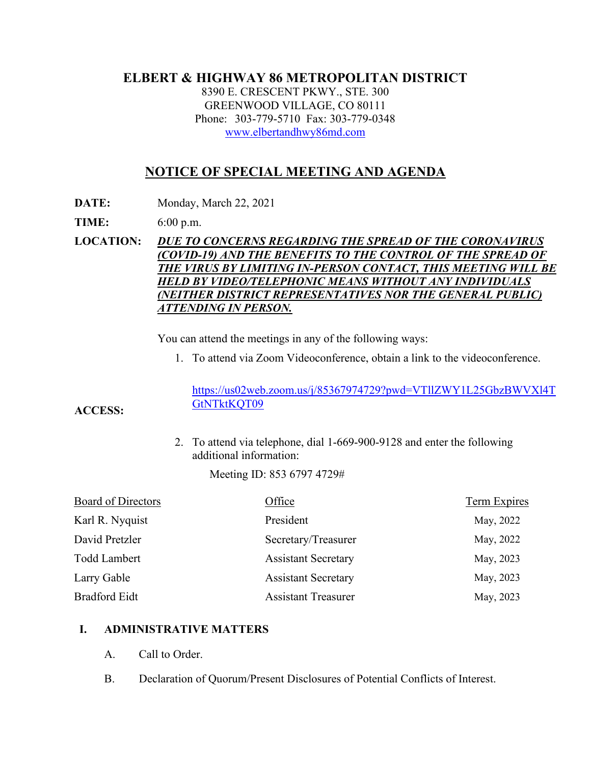## **ELBERT & HIGHWAY 86 METROPOLITAN DISTRICT**

8390 E. CRESCENT PKWY., STE. 300 GREENWOOD VILLAGE, CO 80111 Phone: 303-779-5710 Fax: 303-779-0348 [www.elbertandhwy86md.com](http://www.elbertandhwy86md.com/) 

## **NOTICE OF SPECIAL MEETING AND AGENDA**

**DATE:** Monday, March 22, 2021

**TIME:** 6:00 p.m.

**LOCATION:** *DUE TO CONCERNS REGARDING THE SPREAD OF THE CORONAVIRUS (COVID-19) AND THE BENEFITS TO THE CONTROL OF THE SPREAD OF THE VIRUS BY LIMITING IN-PERSON CONTACT, THIS MEETING WILL BE HELD BY VIDEO/TELEPHONIC MEANS WITHOUT ANY INDIVIDUALS (NEITHER DISTRICT REPRESENTATIVES NOR THE GENERAL PUBLIC) ATTENDING IN PERSON.*

You can attend the meetings in any of the following ways:

1. To attend via Zoom Videoconference, obtain a link to the videoconference.

[https://us02web.zoom.us/j/85367974729?pwd=VTllZWY1L25GbzBWVXl4T](https://us02web.zoom.us/j/85367974729?pwd=VTllZWY1L25GbzBWVXl4TGtNTktKQT09) [GtNTktKQT09](https://us02web.zoom.us/j/85367974729?pwd=VTllZWY1L25GbzBWVXl4TGtNTktKQT09)

**ACCESS:**

2. To attend via telephone, dial 1-669-900-9128 and enter the following additional information:

Meeting ID: 853 6797 4729#

| <b>Board of Directors</b> | Office                     | <b>Term Expires</b> |
|---------------------------|----------------------------|---------------------|
| Karl R. Nyquist           | President                  | May, 2022           |
| David Pretzler            | Secretary/Treasurer        | May, 2022           |
| <b>Todd Lambert</b>       | <b>Assistant Secretary</b> | May, 2023           |
| Larry Gable               | <b>Assistant Secretary</b> | May, 2023           |
| Bradford Eidt             | <b>Assistant Treasurer</b> | May, 2023           |

## **I. ADMINISTRATIVE MATTERS**

- A. Call to Order.
- B. Declaration of Quorum/Present Disclosures of Potential Conflicts of Interest.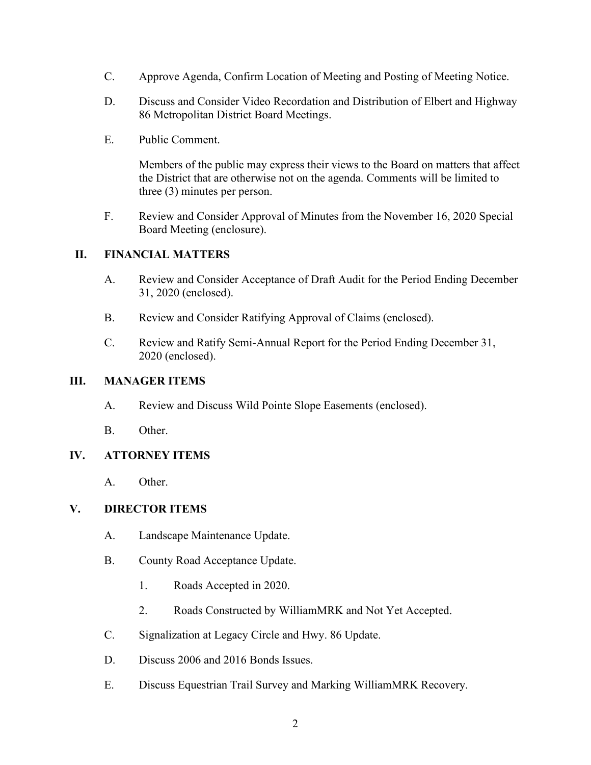- C. Approve Agenda, Confirm Location of Meeting and Posting of Meeting Notice.
- D. Discuss and Consider Video Recordation and Distribution of Elbert and Highway 86 Metropolitan District Board Meetings.
- E. Public Comment.

Members of the public may express their views to the Board on matters that affect the District that are otherwise not on the agenda. Comments will be limited to three (3) minutes per person.

F. Review and Consider Approval of Minutes from the November 16, 2020 Special Board Meeting (enclosure).

### **II. FINANCIAL MATTERS**

- A. Review and Consider Acceptance of Draft Audit for the Period Ending December 31, 2020 (enclosed).
- B. Review and Consider Ratifying Approval of Claims (enclosed).
- C. Review and Ratify Semi-Annual Report for the Period Ending December 31, 2020 (enclosed).

#### **III. MANAGER ITEMS**

- A. Review and Discuss Wild Pointe Slope Easements (enclosed).
- B. Other.

## **IV. ATTORNEY ITEMS**

A. Other.

#### **V. DIRECTOR ITEMS**

- A. Landscape Maintenance Update.
- B. County Road Acceptance Update.
	- 1. Roads Accepted in 2020.
	- 2. Roads Constructed by WilliamMRK and Not Yet Accepted.
- C. Signalization at Legacy Circle and Hwy. 86 Update.
- D. Discuss 2006 and 2016 Bonds Issues.
- E. Discuss Equestrian Trail Survey and Marking WilliamMRK Recovery.